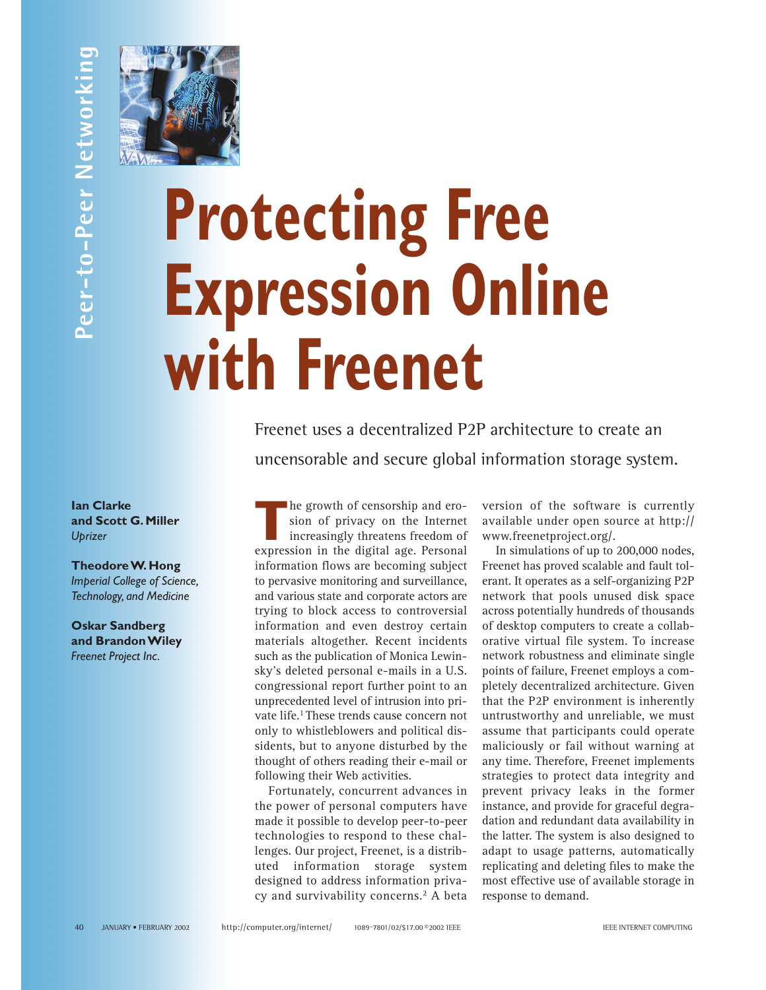

# **Protecting Free Expression Online with Freenet** EXPRESSION Online<br>
With Freedricks a decentrative of PLP architecture to create an<br>
uncerscrabbe and secure global information storage system.<br>
There are the grand of the stress and the stress contract the computer of the

Freenet uses a decentralized P2P architecture to create an uncensorable and secure global information storage system.

**Ian Clarke and Scott G. Miller** *Uprizer*

**Theodore W. Hong** *Imperial College of Science, Technology, and Medicine*

**Oskar Sandberg and Brandon Wiley** *Freenet Project Inc.*

**THE SERVIE CONCRETE SERVIET SERVIET SERVIET SERVIET SERVIET SERVIET SERVIET SERVIET SERVIET SERVIET SERVIET SERVIET SERVIET SERVIET SERVIET SERVIET SERVIET SERVIET SERVIET SERVIET SERVIET SERVIET SERVIET SERVIET SERVIET S** he growth of censorship and erosion of privacy on the Internet increasingly threatens freedom of information flows are becoming subject to pervasive monitoring and surveillance, and various state and corporate actors are trying to block access to controversial information and even destroy certain materials altogether. Recent incidents such as the publication of Monica Lewinsky's deleted personal e-mails in a U.S. congressional report further point to an unprecedented level of intrusion into private life.<sup>1</sup> These trends cause concern not only to whistleblowers and political dissidents, but to anyone disturbed by the thought of others reading their e-mail or following their Web activities.

Fortunately, concurrent advances in the power of personal computers have made it possible to develop peer-to-peer technologies to respond to these challenges. Our project, Freenet, is a distributed information storage system designed to address information privacy and survivability concerns.2 A beta

version of the software is currently available under open source at http:// www.freenetproject.org/.

In simulations of up to 200,000 nodes, Freenet has proved scalable and fault tolerant. It operates as a self-organizing P2P network that pools unused disk space across potentially hundreds of thousands of desktop computers to create a collaborative virtual file system. To increase network robustness and eliminate single points of failure, Freenet employs a completely decentralized architecture. Given that the P2P environment is inherently untrustworthy and unreliable, we must assume that participants could operate maliciously or fail without warning at any time. Therefore, Freenet implements strategies to protect data integrity and prevent privacy leaks in the former instance, and provide for graceful degradation and redundant data availability in the latter. The system is also designed to adapt to usage patterns, automatically replicating and deleting files to make the most effective use of available storage in response to demand.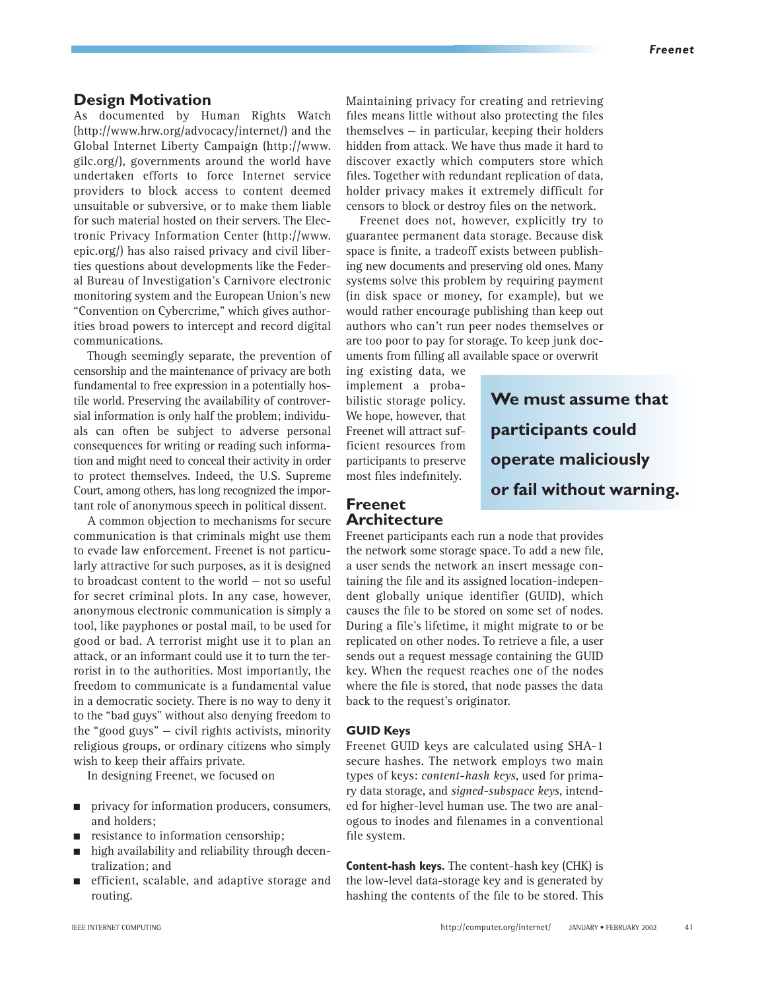# **Design Motivation**

As documented by Human Rights Watch (http://www.hrw.org/advocacy/internet/) and the Global Internet Liberty Campaign (http://www. gilc.org/), governments around the world have undertaken efforts to force Internet service providers to block access to content deemed unsuitable or subversive, or to make them liable for such material hosted on their servers. The Electronic Privacy Information Center (http://www. epic.org/) has also raised privacy and civil liberties questions about developments like the Federal Bureau of Investigation's Carnivore electronic monitoring system and the European Union's new "Convention on Cybercrime," which gives authorities broad powers to intercept and record digital communications.

Though seemingly separate, the prevention of censorship and the maintenance of privacy are both fundamental to free expression in a potentially hostile world. Preserving the availability of controversial information is only half the problem; individuals can often be subject to adverse personal consequences for writing or reading such information and might need to conceal their activity in order to protect themselves. Indeed, the U.S. Supreme Court, among others, has long recognized the important role of anonymous speech in political dissent.

A common objection to mechanisms for secure communication is that criminals might use them to evade law enforcement. Freenet is not particularly attractive for such purposes, as it is designed to broadcast content to the world — not so useful for secret criminal plots. In any case, however, anonymous electronic communication is simply a tool, like payphones or postal mail, to be used for good or bad. A terrorist might use it to plan an attack, or an informant could use it to turn the terrorist in to the authorities. Most importantly, the freedom to communicate is a fundamental value in a democratic society. There is no way to deny it to the "bad guys" without also denying freedom to the "good guys" — civil rights activists, minority religious groups, or ordinary citizens who simply wish to keep their affairs private.

In designing Freenet, we focused on

- privacy for information producers, consumers, and holders;
- resistance to information censorship;
- high availability and reliability through decentralization; and
- efficient, scalable, and adaptive storage and routing.

Maintaining privacy for creating and retrieving files means little without also protecting the files themselves — in particular, keeping their holders hidden from attack. We have thus made it hard to discover exactly which computers store which files. Together with redundant replication of data, holder privacy makes it extremely difficult for censors to block or destroy files on the network.

Freenet does not, however, explicitly try to guarantee permanent data storage. Because disk space is finite, a tradeoff exists between publishing new documents and preserving old ones. Many systems solve this problem by requiring payment (in disk space or money, for example), but we would rather encourage publishing than keep out authors who can't run peer nodes themselves or are too poor to pay for storage. To keep junk documents from filling all available space or overwrit

ing existing data, we implement a probabilistic storage policy. We hope, however, that Freenet will attract sufficient resources from participants to preserve most files indefinitely.

# **Freenet Architecture**

Freenet participants each run a node that provides the network some storage space. To add a new file, a user sends the network an insert message containing the file and its assigned location-independent globally unique identifier (GUID), which causes the file to be stored on some set of nodes. During a file's lifetime, it might migrate to or be replicated on other nodes. To retrieve a file, a user sends out a request message containing the GUID key. When the request reaches one of the nodes where the file is stored, that node passes the data back to the request's originator.

#### **GUID Keys**

Freenet GUID keys are calculated using SHA-1 secure hashes. The network employs two main types of keys: *content-hash keys*, used for primary data storage, and *signed-subspace keys*, intended for higher-level human use. The two are analogous to inodes and filenames in a conventional file system.

**Content-hash keys.** The content-hash key (CHK) is the low-level data-storage key and is generated by hashing the contents of the file to be stored. This

**We must assume that**

**participants could**

**operate maliciously** 

**or fail without warning.**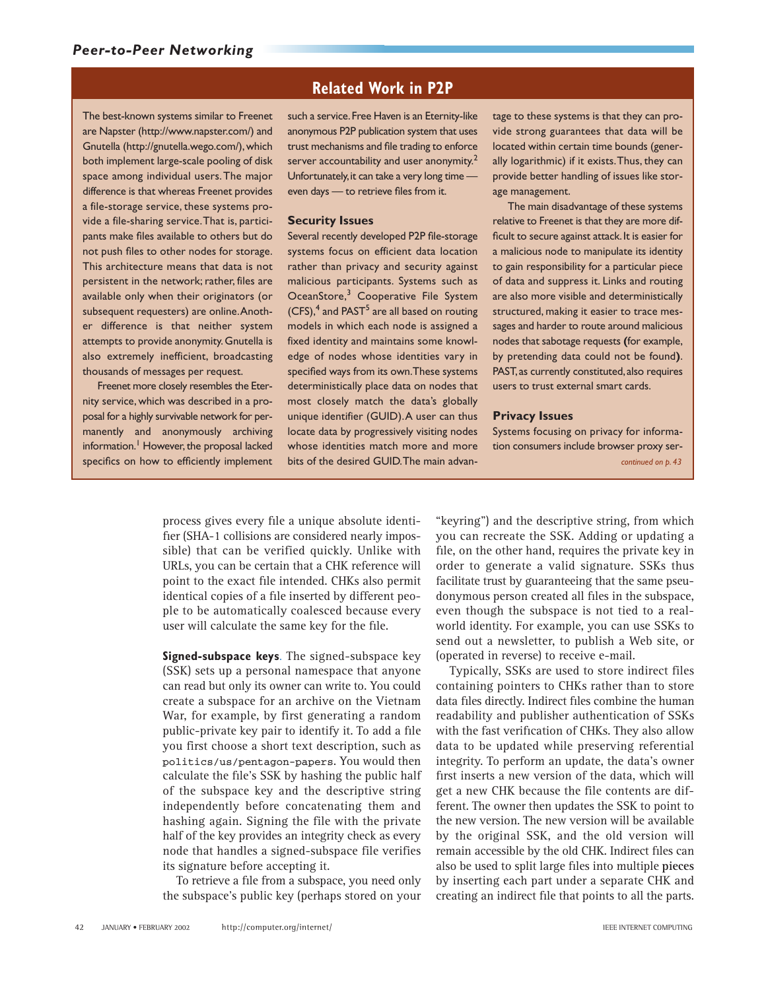# **Related Work in P2P**

The best-known systems similar to Freenet are Napster (http://www.napster.com/) and Gnutella (http://gnutella.wego.com/),which both implement large-scale pooling of disk space among individual users.The major difference is that whereas Freenet provides a file-storage service, these systems provide a file-sharing service.That is, participants make files available to others but do not push files to other nodes for storage. This architecture means that data is not persistent in the network; rather, files are available only when their originators (or subsequent requesters) are online.Another difference is that neither system attempts to provide anonymity.Gnutella is also extremely inefficient, broadcasting thousands of messages per request.

Freenet more closely resembles the Eternity service, which was described in a proposal for a highly survivable network for permanently and anonymously archiving information.<sup>1</sup> However, the proposal lacked specifics on how to efficiently implement such a service. Free Haven is an Eternity-like anonymous P2P publication system that uses trust mechanisms and file trading to enforce server accountability and user anonymity.<sup>2</sup> Unfortunately, it can take a very long time even days — to retrieve files from it.

#### **Security Issues**

Several recently developed P2P file-storage systems focus on efficient data location rather than privacy and security against malicious participants. Systems such as OceanStore,<sup>3</sup> Cooperative File System  $(CFS),<sup>4</sup>$  and PAST<sup>5</sup> are all based on routing models in which each node is assigned a fixed identity and maintains some knowledge of nodes whose identities vary in specified ways from its own.These systems deterministically place data on nodes that most closely match the data's globally unique identifier (GUID).A user can thus locate data by progressively visiting nodes whose identities match more and more bits of the desired GUID.The main advantage to these systems is that they can provide strong guarantees that data will be located within certain time bounds (generally logarithmic) if it exists.Thus, they can provide better handling of issues like storage management.

The main disadvantage of these systems relative to Freenet is that they are more difficult to secure against attack. It is easier for a malicious node to manipulate its identity to gain responsibility for a particular piece of data and suppress it. Links and routing are also more visible and deterministically structured, making it easier to trace messages and harder to route around malicious nodes that sabotage requests **(**for example, by pretending data could not be found**)**. PAST, as currently constituted, also requires users to trust external smart cards.

#### **Privacy Issues**

Systems focusing on privacy for information consumers include browser proxy ser*continued on p. 43*

process gives every file a unique absolute identifier (SHA-1 collisions are considered nearly impossible) that can be verified quickly. Unlike with URLs, you can be certain that a CHK reference will point to the exact file intended. CHKs also permit identical copies of a file inserted by different people to be automatically coalesced because every user will calculate the same key for the file.

**Signed-subspace keys**. The signed-subspace key (SSK) sets up a personal namespace that anyone can read but only its owner can write to. You could create a subspace for an archive on the Vietnam War, for example, by first generating a random public-private key pair to identify it. To add a file you first choose a short text description, such as politics/us/pentagon-papers. You would then calculate the file's SSK by hashing the public half of the subspace key and the descriptive string independently before concatenating them and hashing again. Signing the file with the private half of the key provides an integrity check as every node that handles a signed-subspace file verifies its signature before accepting it.

To retrieve a file from a subspace, you need only the subspace's public key (perhaps stored on your "keyring") and the descriptive string, from which you can recreate the SSK. Adding or updating a file, on the other hand, requires the private key in order to generate a valid signature. SSKs thus facilitate trust by guaranteeing that the same pseudonymous person created all files in the subspace, even though the subspace is not tied to a realworld identity. For example, you can use SSKs to send out a newsletter, to publish a Web site, or (operated in reverse) to receive e-mail.

Typically, SSKs are used to store indirect files containing pointers to CHKs rather than to store data files directly. Indirect files combine the human readability and publisher authentication of SSKs with the fast verification of CHKs. They also allow data to be updated while preserving referential integrity. To perform an update, the data's owner first inserts a new version of the data, which will get a new CHK because the file contents are different. The owner then updates the SSK to point to the new version. The new version will be available by the original SSK, and the old version will remain accessible by the old CHK. Indirect files can also be used to split large files into multiple **pieces** by inserting each part under a separate CHK and creating an indirect file that points to all the parts.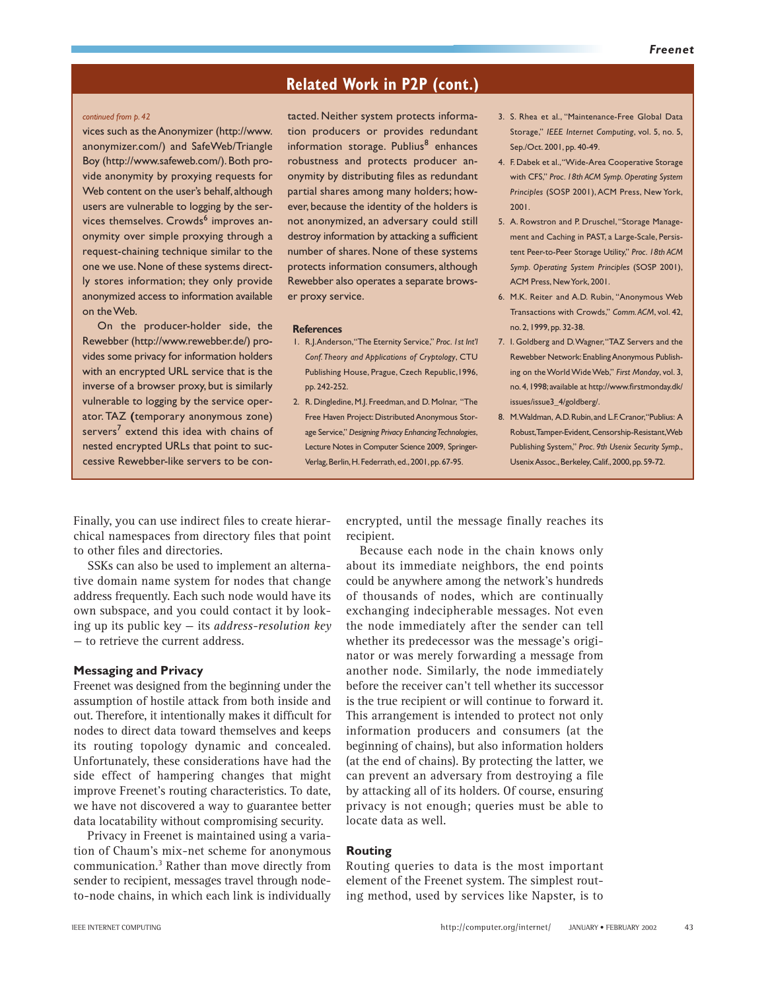# **Related Work in P2P (cont.)**

#### *continued from p. 42*

vices such as the Anonymizer (http://www. anonymizer.com/) and SafeWeb/Triangle Boy (http://www.safeweb.com/).Both provide anonymity by proxying requests for Web content on the user's behalf, although users are vulnerable to logging by the services themselves. Crowds<sup>6</sup> improves anonymity over simple proxying through a request-chaining technique similar to the one we use.None of these systems directly stores information; they only provide anonymized access to information available on the Web.

On the producer-holder side, the Rewebber (http://www.rewebber.de/) provides some privacy for information holders with an encrypted URL service that is the inverse of a browser proxy, but is similarly vulnerable to logging by the service operator. TAZ **(**temporary anonymous zone) servers<sup>7</sup> extend this idea with chains of nested encrypted URLs that point to successive Rewebber-like servers to be con-

tacted. Neither system protects information producers or provides redundant information storage. Publius $8$  enhances robustness and protects producer anonymity by distributing files as redundant partial shares among many holders; however, because the identity of the holders is not anonymized, an adversary could still destroy information by attacking a sufficient number of shares. None of these systems protects information consumers, although Rewebber also operates a separate browser proxy service.

#### **References**

- 1. R.J.Anderson,"The Eternity Service," *Proc. 1st Int'l Conf.Theory and Applications of Cryptology*, CTU Publishing House, Prague, Czech Republic,1996, pp. 242-252.
- 2. R. Dingledine, M.J. Freedman, and D. Molnar, "The Free Haven Project: Distributed Anonymous Storage Service," *Designing Privacy Enhancing Technologies*, Lecture Notes in Computer Science 2009, Springer-Verlag, Berlin, H. Federrath, ed., 2001, pp. 67-95.
- 3. S. Rhea et al., "Maintenance-Free Global Data Storage," *IEEE Internet Computing*, vol. 5, no. 5, Sep./Oct. 2001, pp. 40-49.
- 4. F. Dabek et al.,"Wide-Area Cooperative Storage with CFS," *Proc. 18th ACM Symp. Operating System Principles* (SOSP 2001), ACM Press, New York, 2001.
- 5. A. Rowstron and P. Druschel,"Storage Management and Caching in PAST, a Large-Scale, Persistent Peer-to-Peer Storage Utility," *Proc. 18th ACM Symp. Operating System Principles* (SOSP 2001), ACM Press, New York, 2001.
- 6. M.K. Reiter and A.D. Rubin, "Anonymous Web Transactions with Crowds," *Comm.ACM*, vol. 42, no. 2, 1999, pp. 32-38.
- 7. I. Goldberg and D.Wagner,"TAZ Servers and the Rewebber Network:Enabling Anonymous Publishing on the World Wide Web," *First Monday*, vol. 3, no.4,1998;available at http://www.firstmonday.dk/ issues/issue3\_4/goldberg/.
- 8. M.Waldman, A.D.Rubin,and L.F.Cranor,"Publius: A Robust,Tamper-Evident,Censorship-Resistant,Web Publishing System," *Proc. 9th Usenix Security Symp.*, Usenix Assoc., Berkeley, Calif., 2000, pp. 59-72.

Finally, you can use indirect files to create hierarchical namespaces from directory files that point to other files and directories.

SSKs can also be used to implement an alternative domain name system for nodes that change address frequently. Each such node would have its own subspace, and you could contact it by looking up its public key — its *address-resolution key* — to retrieve the current address.

#### **Messaging and Privacy**

Freenet was designed from the beginning under the assumption of hostile attack from both inside and out. Therefore, it intentionally makes it difficult for nodes to direct data toward themselves and keeps its routing topology dynamic and concealed. Unfortunately, these considerations have had the side effect of hampering changes that might improve Freenet's routing characteristics. To date, we have not discovered a way to guarantee better data locatability without compromising security.

Privacy in Freenet is maintained using a variation of Chaum's mix-net scheme for anonymous communication.3 Rather than move directly from sender to recipient, messages travel through nodeto-node chains, in which each link is individually encrypted, until the message finally reaches its recipient.

Because each node in the chain knows only about its immediate neighbors, the end points could be anywhere among the network's hundreds of thousands of nodes, which are continually exchanging indecipherable messages. Not even the node immediately after the sender can tell whether its predecessor was the message's originator or was merely forwarding a message from another node. Similarly, the node immediately before the receiver can't tell whether its successor is the true recipient or will continue to forward it. This arrangement is intended to protect not only information producers and consumers (at the beginning of chains), but also information holders (at the end of chains). By protecting the latter, we can prevent an adversary from destroying a file by attacking all of its holders. Of course, ensuring privacy is not enough; queries must be able to locate data as well.

#### **Routing**

Routing queries to data is the most important element of the Freenet system. The simplest routing method, used by services like Napster, is to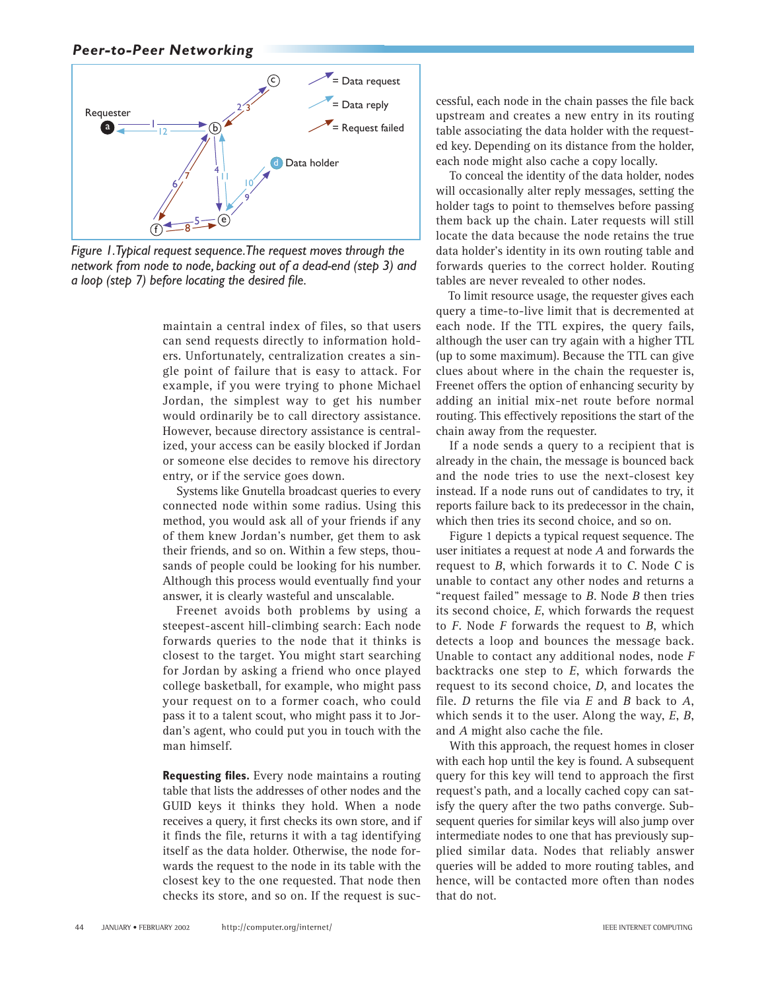### *Peer-to-Peer Networking*



*Figure 1.Typical request sequence.The request moves through the network from node to node, backing out of a dead-end (step 3) and a loop (step 7) before locating the desired file.*

maintain a central index of files, so that users can send requests directly to information holders. Unfortunately, centralization creates a single point of failure that is easy to attack. For example, if you were trying to phone Michael Jordan, the simplest way to get his number would ordinarily be to call directory assistance. However, because directory assistance is centralized, your access can be easily blocked if Jordan or someone else decides to remove his directory entry, or if the service goes down.

Systems like Gnutella broadcast queries to every connected node within some radius. Using this method, you would ask all of your friends if any of them knew Jordan's number, get them to ask their friends, and so on. Within a few steps, thousands of people could be looking for his number. Although this process would eventually find your answer, it is clearly wasteful and unscalable.

Freenet avoids both problems by using a steepest-ascent hill-climbing search: Each node forwards queries to the node that it thinks is closest to the target. You might start searching for Jordan by asking a friend who once played college basketball, for example, who might pass your request on to a former coach, who could pass it to a talent scout, who might pass it to Jordan's agent, who could put you in touch with the man himself.

**Requesting files.** Every node maintains a routing table that lists the addresses of other nodes and the GUID keys it thinks they hold. When a node receives a query, it first checks its own store, and if it finds the file, returns it with a tag identifying itself as the data holder. Otherwise, the node forwards the request to the node in its table with the closest key to the one requested. That node then checks its store, and so on. If the request is successful, each node in the chain passes the file back upstream and creates a new entry in its routing table associating the data holder with the requested key. Depending on its distance from the holder, each node might also cache a copy locally.

To conceal the identity of the data holder, nodes will occasionally alter reply messages, setting the holder tags to point to themselves before passing them back up the chain. Later requests will still locate the data because the node retains the true data holder's identity in its own routing table and forwards queries to the correct holder. Routing tables are never revealed to other nodes.

To limit resource usage, the requester gives each query a time-to-live limit that is decremented at each node. If the TTL expires, the query fails, although the user can try again with a higher TTL (up to some maximum). Because the TTL can give clues about where in the chain the requester is, Freenet offers the option of enhancing security by adding an initial mix-net route before normal routing. This effectively repositions the start of the chain away from the requester.

If a node sends a query to a recipient that is already in the chain, the message is bounced back and the node tries to use the next-closest key instead. If a node runs out of candidates to try, it reports failure back to its predecessor in the chain, which then tries its second choice, and so on.

Figure 1 depicts a typical request sequence. The user initiates a request at node *A* and forwards the request to *B*, which forwards it to *C*. Node *C* is unable to contact any other nodes and returns a "request failed" message to *B*. Node *B* then tries its second choice, *E*, which forwards the request to *F*. Node *F* forwards the request to *B*, which detects a loop and bounces the message back. Unable to contact any additional nodes, node *F* backtracks one step to *E*, which forwards the request to its second choice, *D*, and locates the file. *D* returns the file via *E* and *B* back to *A*, which sends it to the user. Along the way, *E*, *B*, and *A* might also cache the file.

With this approach, the request homes in closer with each hop until the key is found. A subsequent query for this key will tend to approach the first request's path, and a locally cached copy can satisfy the query after the two paths converge. Subsequent queries for similar keys will also jump over intermediate nodes to one that has previously supplied similar data. Nodes that reliably answer queries will be added to more routing tables, and hence, will be contacted more often than nodes that do not.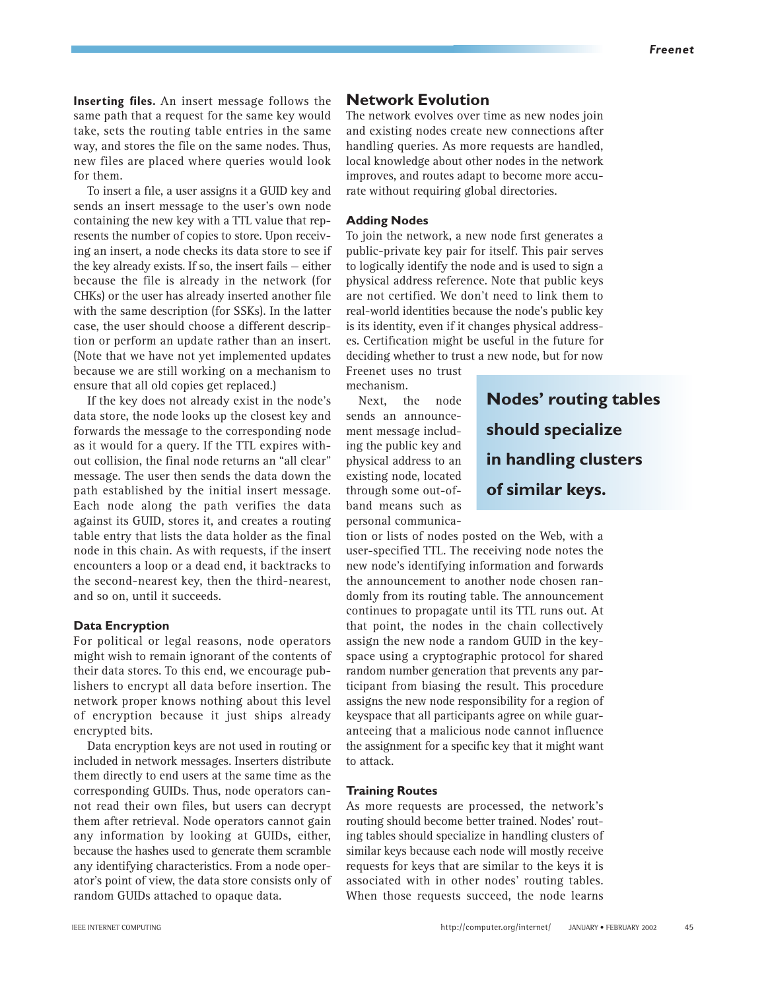**Inserting files.** An insert message follows the same path that a request for the same key would take, sets the routing table entries in the same way, and stores the file on the same nodes. Thus, new files are placed where queries would look for them.

To insert a file, a user assigns it a GUID key and sends an insert message to the user's own node containing the new key with a TTL value that represents the number of copies to store. Upon receiving an insert, a node checks its data store to see if the key already exists. If so, the insert fails — either because the file is already in the network (for CHKs) or the user has already inserted another file with the same description (for SSKs). In the latter case, the user should choose a different description or perform an update rather than an insert. (Note that we have not yet implemented updates because we are still working on a mechanism to ensure that all old copies get replaced.)

If the key does not already exist in the node's data store, the node looks up the closest key and forwards the message to the corresponding node as it would for a query. If the TTL expires without collision, the final node returns an "all clear" message. The user then sends the data down the path established by the initial insert message. Each node along the path verifies the data against its GUID, stores it, and creates a routing table entry that lists the data holder as the final node in this chain. As with requests, if the insert encounters a loop or a dead end, it backtracks to the second-nearest key, then the third-nearest, and so on, until it succeeds.

#### **Data Encryption**

For political or legal reasons, node operators might wish to remain ignorant of the contents of their data stores. To this end, we encourage publishers to encrypt all data before insertion. The network proper knows nothing about this level of encryption because it just ships already encrypted bits.

Data encryption keys are not used in routing or included in network messages. Inserters distribute them directly to end users at the same time as the corresponding GUIDs. Thus, node operators cannot read their own files, but users can decrypt them after retrieval. Node operators cannot gain any information by looking at GUIDs, either, because the hashes used to generate them scramble any identifying characteristics. From a node operator's point of view, the data store consists only of random GUIDs attached to opaque data.

The network evolves over time as new nodes join and existing nodes create new connections after handling queries. As more requests are handled, local knowledge about other nodes in the network improves, and routes adapt to become more accurate without requiring global directories.

#### **Adding Nodes**

To join the network, a new node first generates a public-private key pair for itself. This pair serves to logically identify the node and is used to sign a physical address reference. Note that public keys are not certified. We don't need to link them to real-world identities because the node's public key is its identity, even if it changes physical addresses. Certification might be useful in the future for deciding whether to trust a new node, but for now Freenet uses no trust

mechanism.

Next, the node sends an announcement message including the public key and physical address to an existing node, located through some out-ofband means such as personal communica-

**Nodes' routing tables should specialize in handling clusters of similar keys.**

tion or lists of nodes posted on the Web, with a user-specified TTL. The receiving node notes the new node's identifying information and forwards the announcement to another node chosen randomly from its routing table. The announcement continues to propagate until its TTL runs out. At that point, the nodes in the chain collectively assign the new node a random GUID in the keyspace using a cryptographic protocol for shared random number generation that prevents any participant from biasing the result. This procedure assigns the new node responsibility for a region of keyspace that all participants agree on while guaranteeing that a malicious node cannot influence the assignment for a specific key that it might want to attack.

#### **Training Routes**

As more requests are processed, the network's routing should become better trained. Nodes' routing tables should specialize in handling clusters of similar keys because each node will mostly receive requests for keys that are similar to the keys it is associated with in other nodes' routing tables. When those requests succeed, the node learns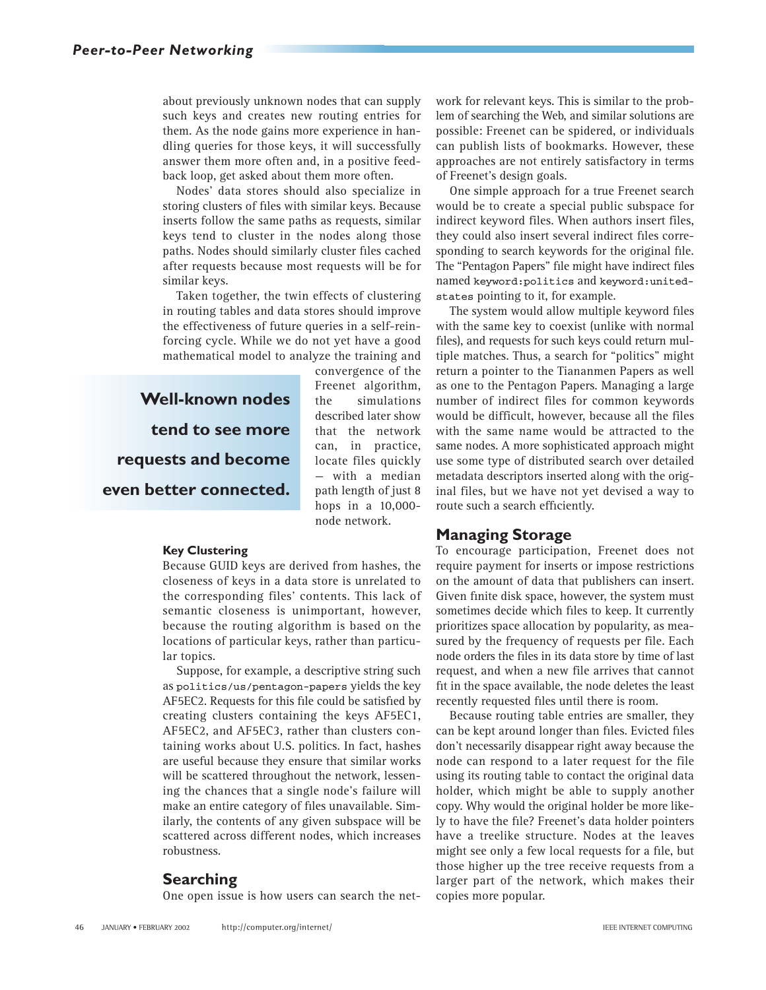about previously unknown nodes that can supply such keys and creates new routing entries for them. As the node gains more experience in handling queries for those keys, it will successfully answer them more often and, in a positive feedback loop, get asked about them more often.

Nodes' data stores should also specialize in storing clusters of files with similar keys. Because inserts follow the same paths as requests, similar keys tend to cluster in the nodes along those paths. Nodes should similarly cluster files cached after requests because most requests will be for similar keys.

Taken together, the twin effects of clustering in routing tables and data stores should improve the effectiveness of future queries in a self-reinforcing cycle. While we do not yet have a good mathematical model to analyze the training and

**Well-known nodes tend to see more requests and become even better connected.**

convergence of the Freenet algorithm, the simulations described later show that the network can, in practice, locate files quickly — with a median path length of just 8 hops in a 10,000 node network.

#### **Key Clustering**

Because GUID keys are derived from hashes, the closeness of keys in a data store is unrelated to the corresponding files' contents. This lack of semantic closeness is unimportant, however, because the routing algorithm is based on the locations of particular keys, rather than particular topics.

Suppose, for example, a descriptive string such as politics/us/pentagon-papers yields the key AF5EC2. Requests for this file could be satisfied by creating clusters containing the keys AF5EC1, AF5EC2, and AF5EC3, rather than clusters containing works about U.S. politics. In fact, hashes are useful because they ensure that similar works will be scattered throughout the network, lessening the chances that a single node's failure will make an entire category of files unavailable. Similarly, the contents of any given subspace will be scattered across different nodes, which increases robustness.

# **Searching**

One open issue is how users can search the net-

work for relevant keys. This is similar to the problem of searching the Web, and similar solutions are possible: Freenet can be spidered, or individuals can publish lists of bookmarks. However, these approaches are not entirely satisfactory in terms of Freenet's design goals.

One simple approach for a true Freenet search would be to create a special public subspace for indirect keyword files. When authors insert files, they could also insert several indirect files corresponding to search keywords for the original file. The "Pentagon Papers" file might have indirect files named keyword:politics and keyword:unitedstates pointing to it, for example.

The system would allow multiple keyword files with the same key to coexist (unlike with normal files), and requests for such keys could return multiple matches. Thus, a search for "politics" might return a pointer to the Tiananmen Papers as well as one to the Pentagon Papers. Managing a large number of indirect files for common keywords would be difficult, however, because all the files with the same name would be attracted to the same nodes. A more sophisticated approach might use some type of distributed search over detailed metadata descriptors inserted along with the original files, but we have not yet devised a way to route such a search efficiently.

# **Managing Storage**

To encourage participation, Freenet does not require payment for inserts or impose restrictions on the amount of data that publishers can insert. Given finite disk space, however, the system must sometimes decide which files to keep. It currently prioritizes space allocation by popularity, as measured by the frequency of requests per file. Each node orders the files in its data store by time of last request, and when a new file arrives that cannot fit in the space available, the node deletes the least recently requested files until there is room.

Because routing table entries are smaller, they can be kept around longer than files. Evicted files don't necessarily disappear right away because the node can respond to a later request for the file using its routing table to contact the original data holder, which might be able to supply another copy. Why would the original holder be more likely to have the file? Freenet's data holder pointers have a treelike structure. Nodes at the leaves might see only a few local requests for a file, but those higher up the tree receive requests from a larger part of the network, which makes their copies more popular.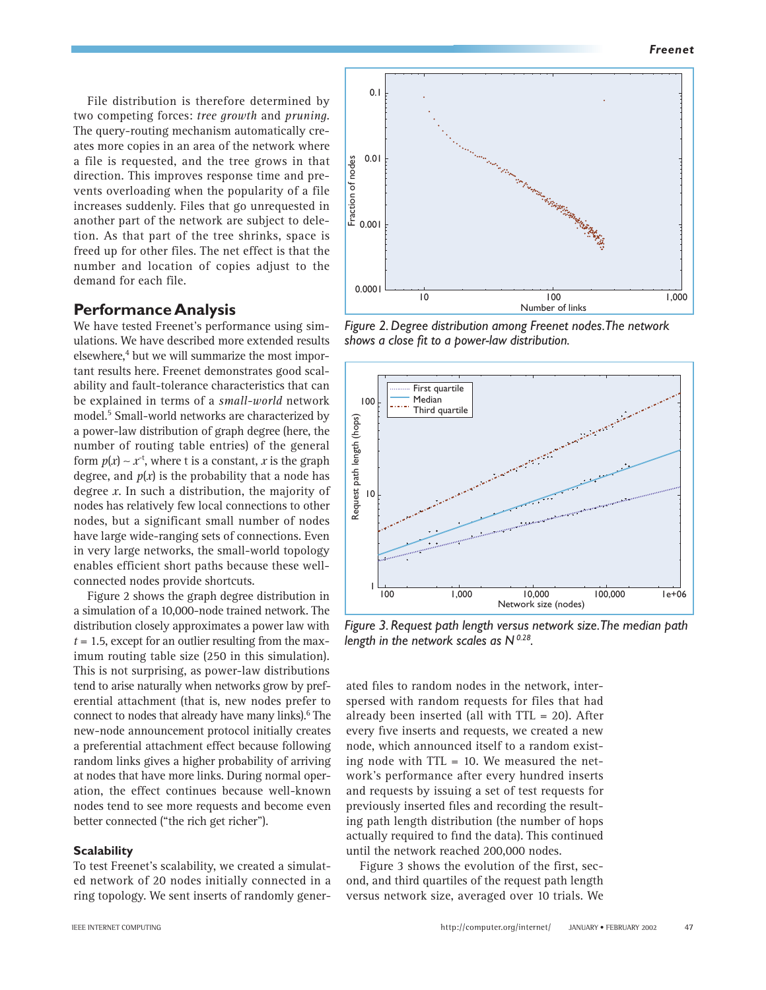File distribution is therefore determined by two competing forces: *tree growth* and *pruning*. The query-routing mechanism automatically creates more copies in an area of the network where a file is requested, and the tree grows in that direction. This improves response time and prevents overloading when the popularity of a file increases suddenly. Files that go unrequested in another part of the network are subject to deletion. As that part of the tree shrinks, space is freed up for other files. The net effect is that the number and location of copies adjust to the demand for each file.

## **Performance Analysis**

We have tested Freenet's performance using simulations. We have described more extended results elsewhere,<sup>4</sup> but we will summarize the most important results here. Freenet demonstrates good scalability and fault-tolerance characteristics that can be explained in terms of a *small-world* network model.<sup>5</sup> Small-world networks are characterized by a power-law distribution of graph degree (here, the number of routing table entries) of the general form  $p(x) \sim x^{-t}$ , where t is a constant, *x* is the graph degree, and  $p(x)$  is the probability that a node has degree *x*. In such a distribution, the majority of nodes has relatively few local connections to other nodes, but a significant small number of nodes have large wide-ranging sets of connections. Even in very large networks, the small-world topology enables efficient short paths because these wellconnected nodes provide shortcuts.

Figure 2 shows the graph degree distribution in a simulation of a 10,000-node trained network. The distribution closely approximates a power law with  $t = 1.5$ , except for an outlier resulting from the maximum routing table size (250 in this simulation). This is not surprising, as power-law distributions tend to arise naturally when networks grow by preferential attachment (that is, new nodes prefer to connect to nodes that already have many links).<sup>6</sup> The new-node announcement protocol initially creates a preferential attachment effect because following random links gives a higher probability of arriving at nodes that have more links. During normal operation, the effect continues because well-known nodes tend to see more requests and become even better connected ("the rich get richer").

#### **Scalability**

To test Freenet's scalability, we created a simulated network of 20 nodes initially connected in a ring topology. We sent inserts of randomly gener-



*Figure 2. Degree distribution among Freenet nodes.The network shows a close fit to a power-law distribution.*



*Figure 3. Request path length versus network size.The median path length in the network scales as N0.28.*

ated files to random nodes in the network, interspersed with random requests for files that had already been inserted (all with TTL = 20). After every five inserts and requests, we created a new node, which announced itself to a random existing node with  $TTL = 10$ . We measured the network's performance after every hundred inserts and requests by issuing a set of test requests for previously inserted files and recording the resulting path length distribution (the number of hops actually required to find the data). This continued until the network reached 200,000 nodes.

Figure 3 shows the evolution of the first, second, and third quartiles of the request path length versus network size, averaged over 10 trials. We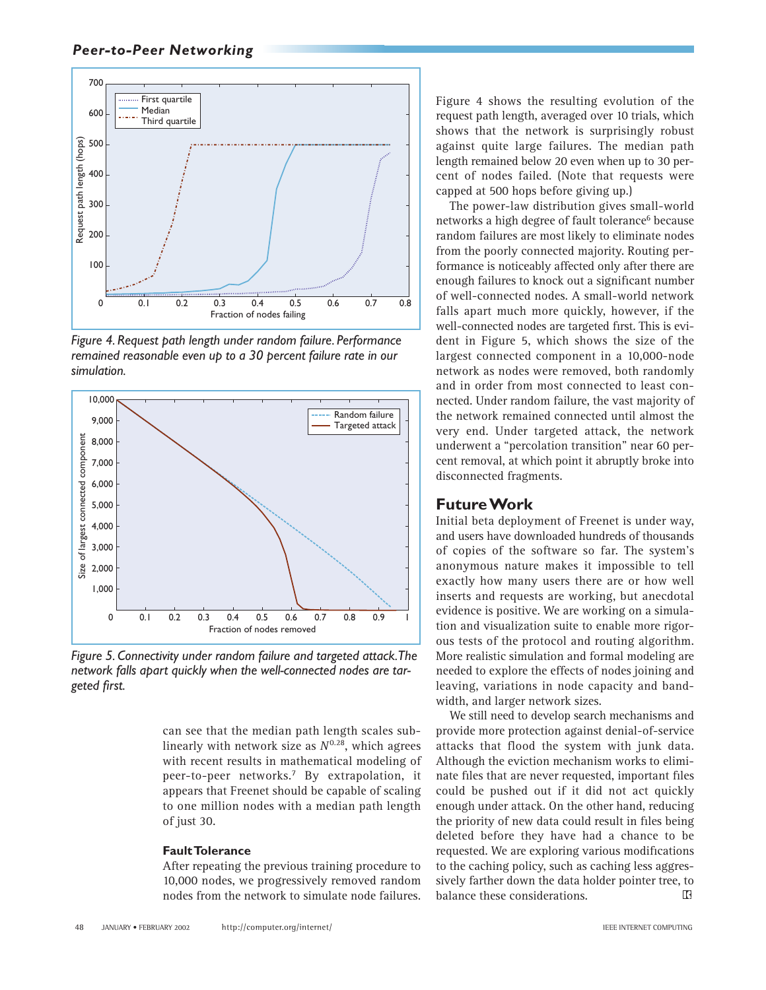

*Figure 4. Request path length under random failure. Performance remained reasonable even up to a 30 percent failure rate in our simulation.*



*Figure 5. Connectivity under random failure and targeted attack.The network falls apart quickly when the well-connected nodes are targeted first.*

can see that the median path length scales sublinearly with network size as *N*0.28, which agrees with recent results in mathematical modeling of peer-to-peer networks.7 By extrapolation, it appears that Freenet should be capable of scaling to one million nodes with a median path length of just 30.

#### **Fault Tolerance**

After repeating the previous training procedure to 10,000 nodes, we progressively removed random nodes from the network to simulate node failures.

Figure 4 shows the resulting evolution of the request path length, averaged over 10 trials, which shows that the network is surprisingly robust against quite large failures. The median path length remained below 20 even when up to 30 percent of nodes failed. (Note that requests were capped at 500 hops before giving up.)

The power-law distribution gives small-world networks a high degree of fault tolerance<sup>6</sup> because random failures are most likely to eliminate nodes from the poorly connected majority. Routing performance is noticeably affected only after there are enough failures to knock out a significant number of well-connected nodes. A small-world network falls apart much more quickly, however, if the well-connected nodes are targeted first. This is evident in Figure 5, which shows the size of the largest connected component in a 10,000-node network as nodes were removed, both randomly and in order from most connected to least connected. Under random failure, the vast majority of the network remained connected until almost the very end. Under targeted attack, the network underwent a "percolation transition" near 60 percent removal, at which point it abruptly broke into disconnected fragments.

## **Future Work**

Initial beta deployment of Freenet is under way, and users have downloaded hundreds of thousands of copies of the software so far. The system's anonymous nature makes it impossible to tell exactly how many users there are or how well inserts and requests are working, but anecdotal evidence is positive. We are working on a simulation and visualization suite to enable more rigorous tests of the protocol and routing algorithm. More realistic simulation and formal modeling are needed to explore the effects of nodes joining and leaving, variations in node capacity and bandwidth, and larger network sizes.

We still need to develop search mechanisms and provide more protection against denial-of-service attacks that flood the system with junk data. Although the eviction mechanism works to eliminate files that are never requested, important files could be pushed out if it did not act quickly enough under attack. On the other hand, reducing the priority of new data could result in files being deleted before they have had a chance to be requested. We are exploring various modifications to the caching policy, such as caching less aggressively farther down the data holder pointer tree, to balance these considerations.  $\mathbb{R}$